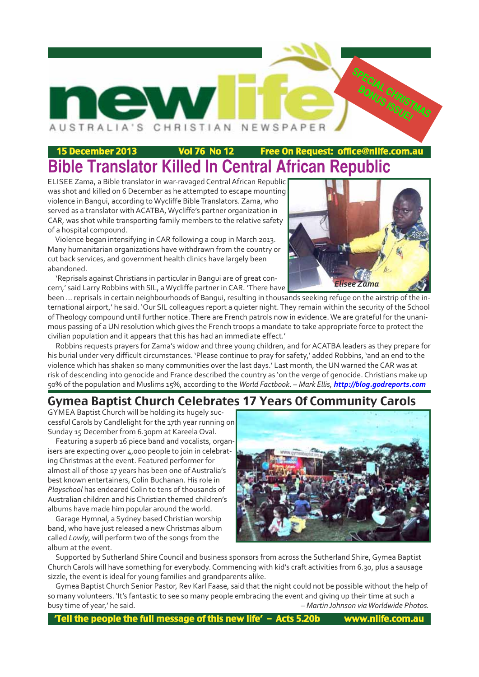

## 15 December 2013 Vol 76 No 12 Free On Request: office@nlife.com.au **Bible Translator Killed In Central African Republic**

ELISEE Zama, a Bible translator in warravaged Central African Republic was shot and killed on 6 December as he attempted to escape mounting violence in Bangui, according to Wycliffe Bible Translators. Zama, who served as a translator with ACATBA, Wycliffe's partner organization in CAR, was shot while transporting family members to the relative safety of a hospital compound.

Violence began intensifying in CAR following a coup in March 2013. Many humanitarian organizations have withdrawn from the country or cut back services, and government health clinics have largely been abandoned.

'Reprisals against Christians in particular in Bangui are of great concern,' said Larry Robbins with SIL, a Wycliffe partner in CAR. 'There have



been ... reprisals in certain neighbourhoods of Bangui, resulting in thousands seeking refuge on the airstrip of the international airport,' he said. 'Our SIL colleagues report a quieter night. They remain within the security of the School of Theology compound until further notice. There are French patrols now in evidence. We are grateful for the unanimous passing of a UN resolution which gives the French troops a mandate to take appropriate force to protect the civilian population and it appears that this has had an immediate effect.'

Robbins requests prayers for Zama's widow and three young children, and for ACATBA leaders as they prepare for his burial under very difficult circumstances. 'Please continue to pray for safety,' added Robbins, 'and an end to the violence which has shaken so many communities over the last days.' Last month, the UN warned the CAR was at risk of descending into genocide and France described the country as 'on the verge of genocide. Christians make up 50% of the population and Muslims 15%, according to the *World Factbook*. *– Mark Ellis, http://blog.godreports.com*

## Gymea Baptist Church Celebrates 17 Years Of Community Carols

GYMEA Baptist Church will be holding its hugely successful Carols by Candlelight for the 17th year running on Sunday 15 December from 6.30pm at Kareela Oval.

Featuring a superb 16 piece band and vocalists, organisers are expecting over 4,000 people to join in celebrating Christmas at the event. Featured performer for almost all of those 17 years has been one of Australia's best known entertainers, Colin Buchanan. His role in *Playschool* has endeared Colin to tens of thousands of Australian children and his Christian themed children's albums have made him popular around the world.

Garage Hymnal, a Sydney based Christian worship band, who have just released a new Christmas album called *Lowly*, will perform two of the songs from the album at the event.



Supported by Sutherland Shire Council and business sponsors from across the Sutherland Shire, Gymea Baptist Church Carols will have something for everybody. Commencing with kid's craft activities from 6.30, plus a sausage sizzle, the event is ideal for young families and grandparents alike.

Gymea Baptist Church Senior Pastor, Rev Karl Faase, said that the night could not be possible without the help of so many volunteers. 'It's fantastic to see so many people embracing the event and giving up their time at such a busy time of year,' he said. *– Martin Johnson via Worldwide Photos.*

'Tell the people the full message of this new life' – Acts 5.20b www.nlife.com.au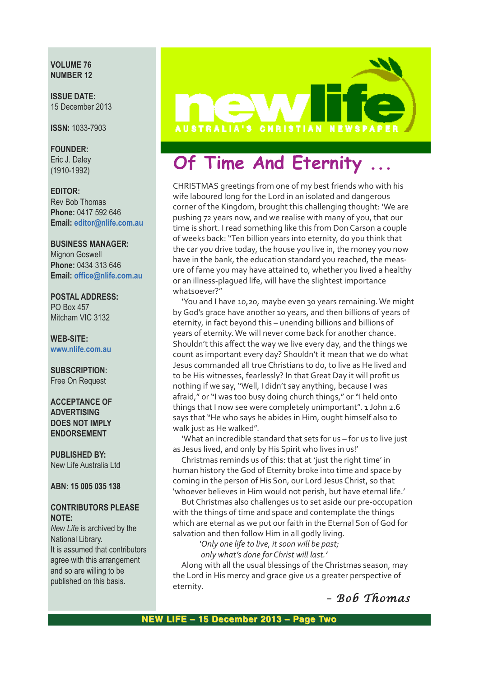**VOLUME 76 NUMBER 12**

**ISSUE DATE:** 15 December 2013

**ISSN:** 1033-7903

**FOUNDER:**

Eric J. Daley (1910-1992)

#### **EDITOR:**

Rev Bob Thomas **Phone:** 0417 592 646 **Email: editor@nlife.com.au**

#### **BUSINESS MANAGER:**

Mignon Goswell **Phone:** 0434 313 646 **Email: office@nlife.com.au**

#### **POSTAL ADDRESS:**

PO Box 457 Mitcham VIC 3132

**WEB-SITE: www.nlife.com.au**

#### **SUBSCRIPTION:** Free On Request

**ACCEPTANCE OF ADVERTISING DOES NOT IMPLY ENDORSEMENT**

**PUBLISHED BY:** New Life Australia Ltd

**ABN: 15 005 035 138**

#### **CONTRIBUTORS PLEASE NOTE:**

*New Life* is archived by the National Library. It is assumed that contributors agree with this arrangement and so are willing to be published on this basis.



## **Of Time And Eternity**

CHRISTMAS greetings from one of my best friends who with his wife laboured long for the Lord in an isolated and dangerous corner of the Kingdom, brought this challenging thought: 'We are pushing 72 years now, and we realise with many of you, that our time is short. I read something like this from Don Carson a couple of weeks back: "Ten billion years into eternity, do you think that the car you drive today, the house you live in, the money you now have in the bank, the education standard you reached, the measure of fame you may have attained to, whether you lived a healthy or an illness-plagued life, will have the slightest importance whatsoever?"

'You and I have 10,20, maybe even 30 years remaining. We might by God's grace have another 10 years, and then billions of years of eternity, in fact beyond this – unending billions and billions of years of eternity. We will never come back for another chance. Shouldn't this affect the way we live every day, and the things we count as important every day? Shouldn't it mean that we do what Jesus commanded all true Christians to do, to live as He lived and to be His witnesses, fearlessly? In that Great Day it will profit us nothing if we say, "Well, I didn't say anything, because I was afraid," or "I was too busy doing church things," or "I held onto things that I now see were completely unimportant". 1 John 2.6 says that "He who says he abides in Him, ought himself also to walk just as He walked".

'What an incredible standard that sets for us – for us to live just as Jesus lived, and only by His Spirit who lives in us!'

Christmas reminds us of this: that at 'just the right time' in human history the God of Eternity broke into time and space by coming in the person of His Son, our Lord Jesus Christ, so that 'whoever believes in Him would not perish, but have eternal life.'

But Christmas also challenges us to set aside our pre-occupation with the things of time and space and contemplate the things which are eternal as we put our faith in the Eternal Son of God for salvation and then follow Him in all godly living.

*'Only one life to live, it soon will be past;*

*only what's done for Christ will last.'*

Along with all the usual blessings of the Christmas season, may the Lord in His mercy and grace give us a greater perspective of eternity.

*– Bob Thomas*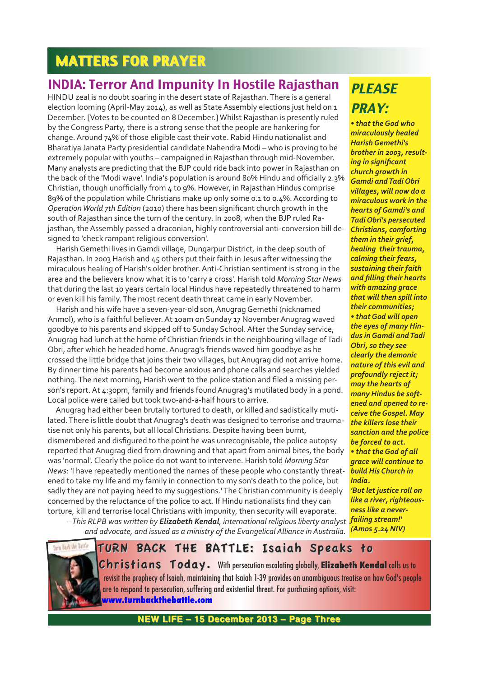## **MATTERS FOR PRAYER**

## INDIA: Terror And Impunity In Hostile Rajasthan PIFASE

HINDU zeal is no doubt soaring in the desert state of Rajasthan. There is a general election looming (April-May 2014), as well as State Assembly elections just held on  $1$ December. [Votes to be counted on 8 December.] Whilst Rajasthan is presently ruled by the Congress Party, there is a strong sense that the people are hankering for change. Around 74% of those eligible cast their vote. Rabid Hindu nationalist and Bharatiya Janata Party presidential candidate Nahendra Modi – who is proving to be extremely popular with youths – campaigned in Rajasthan through mid-November. Many analysts are predicting that the BJP could ride back into power in Rajasthan on the back of the 'Modi wave'. India's population is around 80% Hindu and officially 2.3% Christian, though unofficially from 4 to 9%. However, in Rajasthan Hindus comprise 89% of the population while Christians make up only some 0.1 to 0.4%. According to *Operation World 7th Edition* (2010) there has been significant church growth in the south of Rajasthan since the turn of the century. In 2008, when the BJP ruled Rajasthan, the Assembly passed a draconian, highly controversial anti-conversion bill designed to 'check rampant religious conversion'.

Harish Gemethi lives in Gamdi village, Dungarpur District, in the deep south of Rajasthan. In 2003 Harish and 45 others put their faith in Jesus after witnessing the miraculous healing of Harish's older brother. Anti-Christian sentiment is strong in the area and the believers know what it is to 'carry a cross'. Harish told *Morning Star News* that during the last 10 years certain local Hindus have repeatedly threatened to harm or even kill his family. The most recent death threat came in early November.

Harish and his wife have a seven-year-old son, Anugrag Gemethi (nicknamed Anmol), who is a faithful believer. At 10am on Sunday 17 November Anugrag waved goodbye to his parents and skipped off to Sunday School. After the Sunday service, Anugrag had lunch at the home of Christian friends in the neighbouring village of Tadi Obri, after which he headed home. Anugrag's friends waved him goodbye as he crossed the little bridge that joins their two villages, but Anugrag did not arrive home. By dinner time his parents had become anxious and phone calls and searches yielded nothing. The next morning, Harish went to the police station and filed a missing person's report. At 4:30pm, family and friends found Anugrag's mutilated body in a pond. Local police were called but took two-and-a-half hours to arrive.

Anugrag had either been brutally tortured to death, or killed and sadistically mutilated. There is little doubt that Anugrag's death was designed to terrorise and traumatise not only his parents, but all local Christians. Despite having been burnt, dismembered and disfigured to the point he was unrecognisable, the police autopsy reported that Anugrag died from drowning and that apart from animal bites, the body was 'normal'. Clearly the police do not want to intervene. Harish told *Morning Star News*: 'I have repeatedly mentioned the names of these people who constantly threatened to take my life and my family in connection to my son's death to the police, but sadly they are not paying heed to my suggestions.' The Christian community is deeply concerned by the reluctance of the police to act. If Hindu nationalists find they can torture, kill and terrorise local Christians with impunity, then security will evaporate.

PRAY:

*• that the God who miraculously healed Harish Gemethi's brother in 2003, resulting in significant church growth in Gamdi and Tadi Obri villages, will now do a miraculous work in the hearts of Gamdi's and Tadi Obri's persecuted Christians, comforting them in their grief, healing their trauma, calming their fears, sustaining their faith and filling their hearts with amazing grace that will then spill into their communities; • that God will open the eyes of many Hindus in Gamdi and Tadi Obri, so they see clearly the demonic nature of this evil and profoundly reject it; may the hearts of many Hindus be softened and opened to receive the Gospel. May the killers lose their sanction and the police be forced to act. • that the God of all grace will continue to build His Church in India.*

*'But let justice roll on like a river, righteousness like a never-(Amos 5.24 NIV)*

*–This RLPB was written by Elizabeth Kendal, international religious liberty analyst failing stream!' and advocate, and issued as a ministry of the Evangelical Alliance in Australia.*



**NEW LIFE – 15 December 2013 – Page Three NEW LIFE – 15 December 2013 – Page Three**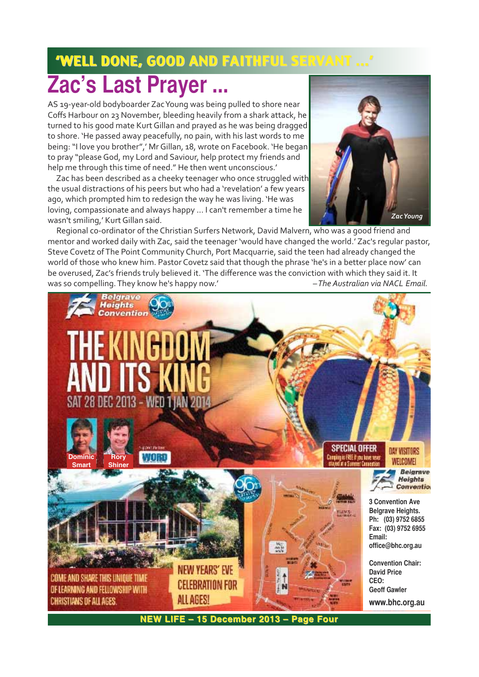# 'WELL DONE, GOOD AND FAITHFUL SERVANT ...' 'WELL DONE, GOOD AND FAITHFUL SERVANT ...' **Zac's Last Prayer ...**

AS 19-year-old bodyboarder Zac Young was being pulled to shore near Coffs Harbour on 23 November, bleeding heavily from a shark attack, he turned to his good mate Kurt Gillan and prayed as he was being dragged to shore. 'He passed away peacefully, no pain, with his last words to me being: "I love you brother",' Mr Gillan, 18, wrote on Facebook. 'He began to pray "please God, my Lord and Saviour, help protect my friends and help me through this time of need." He then went unconscious.'

Zac has been described as a cheeky teenager who once struggled with the usual distractions of his peers but who had a 'revelation' a few years ago, which prompted him to redesign the way he was living. 'He was loving, compassionate and always happy ... I can't remember a time he wasn't smiling,' Kurt Gillan said.



Regional co-ordinator of the Christian Surfers Network, David Malvern, who was a good friend and mentor and worked daily with Zac, said the teenager 'would have changed the world.' Zac's regular pastor, Steve Covetz of The Point Community Church, Port Macquarrie, said the teen had already changed the world of those who knew him. Pastor Covetz said that though the phrase 'he's in a better place now' can be overused, Zac's friends truly believed it. 'The difference was the conviction with which they said it. It was so compelling. They know he's happy now.' *– The Australian via NACL Email.* 

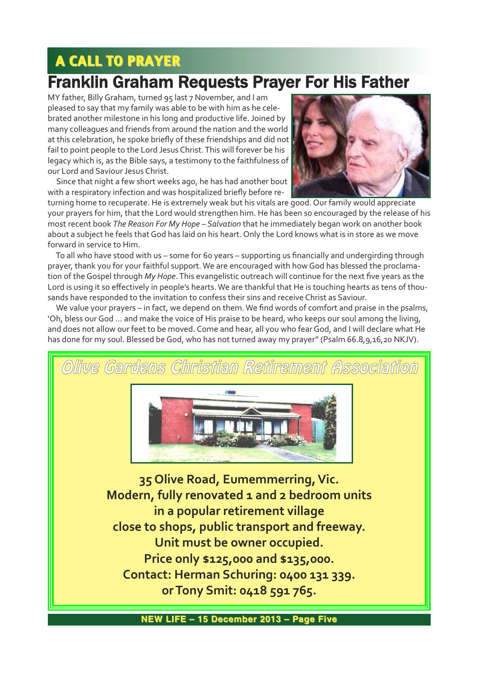# A CALL TO PRAYER

## Franklin Graham Requests Prayer For His Father

MY father, Billy Graham, turned 95 last 7 November, and I am pleased to say that my family was able to be with him as he celebrated another milestone in his long and productive life. Joined by many colleagues and friends from around the nation and the world at this celebration, he spoke briefly of these friendships and did not fail to point people to the Lord Jesus Christ. This will forever be his legacy which is, as the Bible says, a testimony to the faithfulness of our Lord and Saviour Jesus Christ.

Since that night a few short weeks ago, he has had another bout with a respiratory infection and was hospitalized briefly before re-



turning home to recuperate. He is extremely weak but his vitals are good. Our family would appreciate your prayers for him, that the Lord would strengthen him. He has been so encouraged by the release of his most recent book *The Reason For My Hope – Salvation* that he immediately began work on another book about a subject he feels that God has laid on his heart. Only the Lord knows what is in store as we move forward in service to Him.

To all who have stood with us – some for 60 years – supporting us financially and undergirding through prayer, thank you for your faithful support. We are encouraged with how God has blessed the proclamation of the Gospel through *My Hope*. This evangelistic outreach will continue for the next five years as the Lord is using it so effectively in people's hearts. We are thankful that He is touching hearts as tens of thousands have responded to the invitation to confess their sins and receive Christ as Saviour.

We value your prayers – in fact, we depend on them. We find words of comfort and praise in the psalms, 'Oh, bless our God … and make the voice of His praise to be heard, who keeps our soul among the living, and does not allow our feet to be moved. Come and hear, all you who fear God, and I will declare what He has done for my soul. Blessed be God, who has not turned away my prayer" (Psalm 66.8,9,16,20 NKJV).

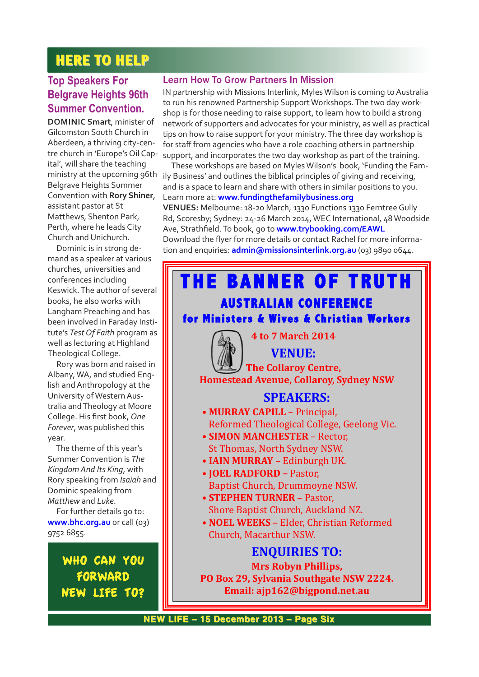## **HERE TO HELP**

### **Top Speakers For Belgrave Heights 96th Summer Convention.**

**DOMINIC Smart**, minister of Gilcomston South Church in Aberdeen, a thriving city-centre church in 'Europe's Oil Capital', will share the teaching Belgrave Heights Summer Convention with **Rory Shiner**, assistant pastor at St Matthews, Shenton Park, Perth, where he leads City Church and Unichurch.

Dominic is in strong demand as a speaker at various churches, universities and conferences including Keswick. The author of several books, he also works with Langham Preaching and has been involved in Faraday Institute's *Test Of Faith* program as well as lecturing at Highland Theological College.

Rory was born and raised in Albany, WA, and studied English and Anthropology at the University of Western Australia and Theology at Moore College. His first book, *One Forever*, was published this year.

The theme of this year's Summer Convention is *The Kingdom And Its King*, with Rory speaking from *Isaiah* and Dominic speaking from *Matthew* and *Luke*.

For further details go to: **www.bhc.org.au** or call (03) 9752 6855.

> WHO CAN YOU FORWARD NEW LIFE TO?

#### Learn How To Grow Partners In Mission

IN partnership with Missions Interlink, Myles Wilson is coming to Australia to run his renowned Partnership Support Workshops. The two day workshop is for those needing to raise support, to learn how to build a strong network of supporters and advocates for your ministry, as well as practical tips on how to raise support for your ministry. The three day workshop is for staff from agencies who have a role coaching others in partnership support, and incorporates the two day workshop as part of the training.

ministry at the upcoming 96th ily Business' and outlines the biblical principles of giving and receiving, These workshops are based on Myles Wilson's book, 'Funding the Famand is a space to learn and share with others in similar positions to you. Learn more at: **www.fundingthefamilybusiness.org**

**VENUES:** Melbourne: 1820 March, 1330 Functions 1330 Ferntree Gully Rd, Scoresby; Sydney: 24-26 March 2014, WEC International, 48 Woodside Ave, Strathfield. To book, go to **www.trybooking.com/EAWL** Download the flyer for more details or contact Rachel for more information and enquiries: **admin@missionsinterlink.org.au** (03) 9890 0644.

# **THE BANNER OF TRUTH HE BANNER OF TRUTH**

#### **AUSTRALIAN CONFERENCE for Ministers & Wives & Christian Workers**

#### **4 to 7 March 2014**

**VENUE:**

**The Collaroy Centre, Homestead Avenue, Collaroy, Sydney NSW**

#### **SPEAKERS:**

- **MURRAY CAPILL**  Principal, Reformed Theological College, Geelong Vic.
- **SIMON MANCHESTER**  Rector, St Thomas, North Sydney NSW.
- **IAIN MURRAY** Edinburgh UK.
- **JOEL RADFORD –** Pastor, Baptist Church, Drummoyne NSW.
- **STEPHEN TURNER**  Pastor, Shore Baptist Church, Auckland NZ.
- **NOEL WEEKS**  Elder, Christian Reformed Church, Macarthur NSW.

## **ENQUIRIES TO: Mrs Robyn Phillips,**

**PO Box 29, Sylvania Southgate NSW 2224. Email: ajp162@bigpond.net.au**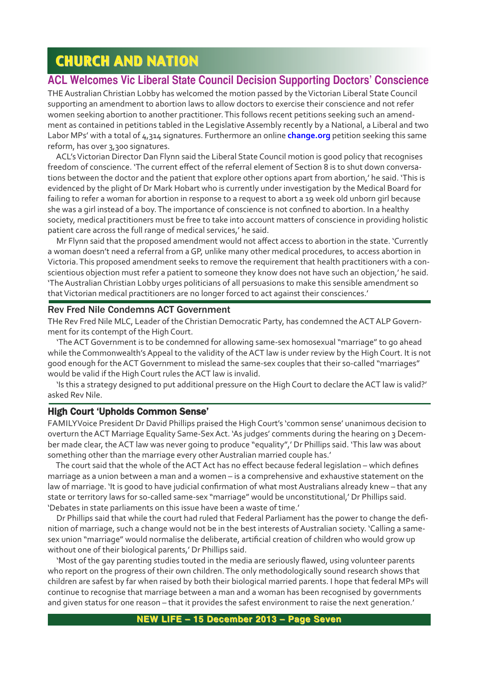## **CHURCH AND NATION**

#### **ACL Welcomes Vic Liberal State Council Decision Supporting Doctors' Conscience**

THE Australian Christian Lobby has welcomed the motion passed by the Victorian Liberal State Council supporting an amendment to abortion laws to allow doctors to exercise their conscience and not refer women seeking abortion to another practitioner. This follows recent petitions seeking such an amendment as contained in petitions tabled in the Legislative Assembly recently by a National, a Liberal and two Labor MPs' with a total of 4,314 signatures. Furthermore an online **change.org** petition seeking this same reform, has over 3,300 signatures.

ACL's Victorian Director Dan Flynn said the Liberal State Council motion is good policy that recognises freedom of conscience. 'The current effect of the referral element of Section 8 is to shut down conversations between the doctor and the patient that explore other options apart from abortion,' he said. 'This is evidenced by the plight of Dr Mark Hobart who is currently under investigation by the Medical Board for failing to refer a woman for abortion in response to a request to abort a 19 week old unborn girl because she was a girl instead of a boy. The importance of conscience is not confined to abortion. In a healthy society, medical practitioners must be free to take into account matters of conscience in providing holistic patient care across the full range of medical services,' he said.

Mr Flynn said that the proposed amendment would not affect access to abortion in the state. 'Currently a woman doesn't need a referral from a GP, unlike many other medical procedures, to access abortion in Victoria. This proposed amendment seeks to remove the requirement that health practitioners with a conscientious objection must refer a patient to someone they know does not have such an objection,' he said. 'The Australian Christian Lobby urges politicians of all persuasions to make this sensible amendment so that Victorian medical practitioners are no longer forced to act against their consciences.'

#### Rev Fred Nile Condemns ACT Government

THe Rev Fred Nile MLC, Leader of the Christian Democratic Party, has condemned the ACT ALP Government for its contempt of the High Court.

'The ACT Government is to be condemned for allowing samesex homosexual "marriage" to go ahead while the Commonwealth's Appeal to the validity of the ACT law is under review by the High Court. It is not good enough for the ACT Government to mislead the same-sex couples that their so-called "marriages" would be valid if the High Court rules the ACT law is invalid.

'Is this a strategy designed to put additional pressure on the High Court to declare the ACT law is valid?' asked Rev Nile.

#### High Court 'Upholds Common Sense'

FAMILYVoice President Dr David Phillips praised the High Court's 'common sense' unanimous decision to overturn the ACT Marriage Equality Same-Sex Act. 'As judges' comments during the hearing on 3 December made clear, the ACT law was never going to produce "equality",' Dr Phillips said. 'This law was about something other than the marriage every other Australian married couple has.'

The court said that the whole of the ACT Act has no effect because federal legislation – which defines marriage as a union between a man and a women – is a comprehensive and exhaustive statement on the law of marriage. 'It is good to have judicial confirmation of what most Australians already knew – that any state or territory laws for so-called same-sex "marriage" would be unconstitutional,' Dr Phillips said. 'Debates in state parliaments on this issue have been a waste of time.'

Dr Phillips said that while the court had ruled that Federal Parliament has the power to change the definition of marriage, such a change would not be in the best interests of Australian society. 'Calling a samesex union "marriage" would normalise the deliberate, artificial creation of children who would grow up without one of their biological parents,' Dr Phillips said.

'Most of the gay parenting studies touted in the media are seriously flawed, using volunteer parents who report on the progress of their own children. The only methodologically sound research shows that children are safest by far when raised by both their biological married parents. I hope that federal MPs will continue to recognise that marriage between a man and a woman has been recognised by governments and given status for one reason – that it provides the safest environment to raise the next generation.'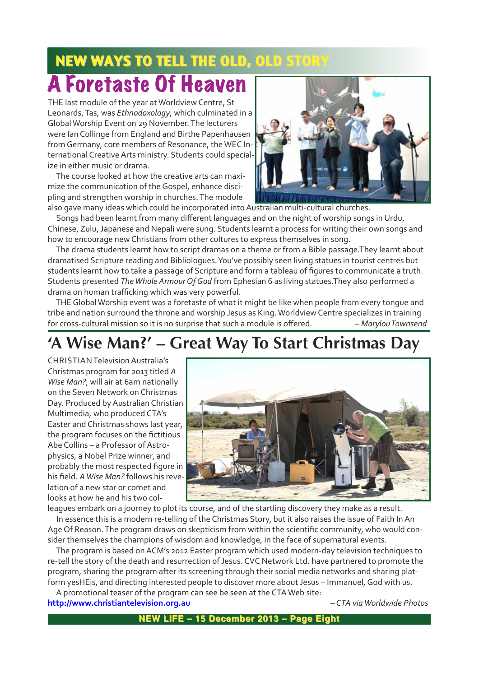## NEW WAYS TO TELL THE OLD, OLD STO

# A Foretaste Of Heaven

THE last module of the year at Worldview Centre, St Leonards, Tas, was *Ethnodoxology*, which culminated in a Global Worship Event on 29 November. The lecturers were Ian Collinge from England and Birthe Papenhausen from Germany, core members of Resonance, the WEC International Creative Arts ministry. Students could specialize in either music or drama.

The course looked at how the creative arts can maximize the communication of the Gospel, enhance discipling and strengthen worship in churches. The module



also gave many ideas which could be incorporated into Australian multi-cultural churches. Songs had been learnt from many different languages and on the night of worship songs in Urdu,

Chinese, Zulu, Japanese and Nepali were sung. Students learnt a process for writing their own songs and how to encourage new Christians from other cultures to express themselves in song.

The drama students learnt how to script dramas on a theme or from a Bible passage.They learnt about dramatised Scripture reading and Bibliologues. You've possibly seen living statues in tourist centres but students learnt how to take a passage of Scripture and form a tableau of figures to communicate a truth. Students presented *The Whole Armour Of God* from Ephesian 6 as living statues.They also performed a drama on human trafficking which was very powerful.

THE Global Worship event was a foretaste of what it might be like when people from every tongue and tribe and nation surround the throne and worship Jesus as King. Worldview Centre specializes in training for cross-cultural mission so it is no surprise that such a module is offered. *– Marylou Townsend* 

## **'A Wise Man?' – Great Way To Start Christmas Day**

CHRISTIAN Television Australia's Christmas program for 2013 titled *A Wise Man?*, will air at 6am nationally on the Seven Network on Christmas Day. Produced by Australian Christian Multimedia, who produced CTA's Easter and Christmas shows last year, the program focuses on the fictitious Abe Collins – a Professor of Astrophysics, a Nobel Prize winner, and probably the most respected figure in his field. *A Wise Man?* follows his revelation of a new star or comet and looks at how he and his two col-



leagues embark on a journey to plot its course, and of the startling discovery they make as a result. In essence this is a modern re-telling of the Christmas Story, but it also raises the issue of Faith In An Age Of Reason. The program draws on skepticism from within the scientific community, who would consider themselves the champions of wisdom and knowledge, in the face of supernatural events.

The program is based on ACM's 2012 Easter program which used modern-day television techniques to re-tell the story of the death and resurrection of Jesus. CVC Network Ltd. have partnered to promote the program, sharing the program after its screening through their social media networks and sharing platform yesHEis, and directing interested people to discover more about Jesus – Immanuel, God with us.

A promotional teaser of the program can see be seen at the CTA Web site: **http://www.christiantelevision.org.au** *– CTA via Worldwide Photos*

**NEW LIFE – 15 December 2013 – Page Eight NEW LIFE – December 2013 – Page Eight**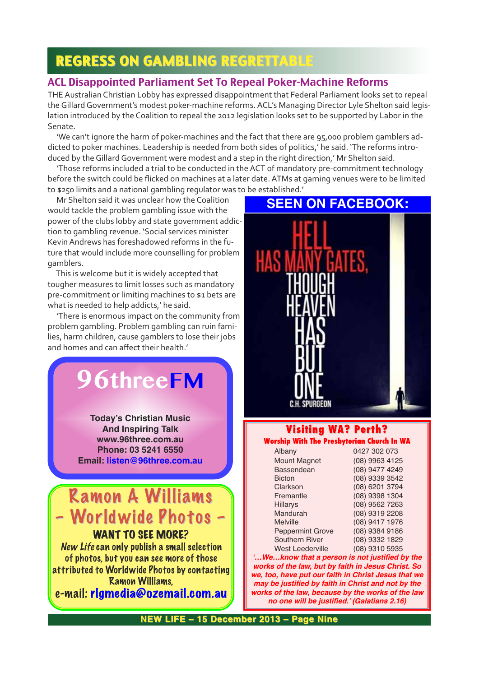## REGRESS ON GAMBLING REGRETTABLE

#### ACL Disappointed Parliament Set To Repeal Poker-Machine Reforms

THE Australian Christian Lobby has expressed disappointment that Federal Parliament looks set to repeal the Gillard Government's modest poker-machine reforms. ACL's Managing Director Lyle Shelton said legislation introduced by the Coalition to repeal the 2012 legislation looks set to be supported by Labor in the Senate.

'We can't ignore the harm of poker-machines and the fact that there are 95,000 problem gamblers addicted to poker machines. Leadership is needed from both sides of politics,' he said. 'The reforms introduced by the Gillard Government were modest and a step in the right direction,' Mr Shelton said.

'Those reforms included a trial to be conducted in the ACT of mandatory pre-commitment technology before the switch could be flicked on machines at a later date. ATMs at gaming venues were to be limited to \$250 limits and a national gambling regulator was to be established.'

Mr Shelton said it was unclear how the Coalition would tackle the problem gambling issue with the power of the clubs lobby and state government addiction to gambling revenue. 'Social services minister Kevin Andrews has foreshadowed reforms in the future that would include more counselling for problem gamblers.

This is welcome but it is widely accepted that tougher measures to limit losses such as mandatory pre-commitment or limiting machines to \$1 bets are what is needed to help addicts,' he said.

'There is enormous impact on the community from problem gambling. Problem gambling can ruin families, harm children, cause gamblers to lose their jobs and homes and can affect their health.'

# **96threeFM**

**Today's Christian Music And Inspiring Talk www.96three.com.au Phone: 03 5241 6550 Email: listen@96three.com.au**

## Ramon A Williams – Worldwide Photos – – Worldwide Photos –

WANT TO SEE MORE?

New Life can only publish a small selection of photos, but you can see more of those attributed to Worldwide Photos by contacting Ramon Williams,

e-mail: rlgmedia@ozemail.com.au

## **SEEN ON FACEBOOK:**



## **Visiting WA? Perth? Visiting WA? Perth?**

| Worship With The Presbyterian Church In WA |  |  |  |  |  |
|--------------------------------------------|--|--|--|--|--|
|--------------------------------------------|--|--|--|--|--|

| Albany                  | 0427 302 073   |
|-------------------------|----------------|
| <b>Mount Magnet</b>     | (08) 9963 4125 |
| Bassendean              | (08) 9477 4249 |
| <b>Bicton</b>           | (08) 9339 3542 |
| Clarkson                | (08) 6201 3794 |
| Fremantle               | (08) 9398 1304 |
| <b>Hillarys</b>         | (08) 9562 7263 |
| Mandurah                | (08) 9319 2208 |
| <b>Melville</b>         | (08) 9417 1976 |
| <b>Peppermint Grove</b> | (08) 9384 9186 |
| <b>Southern River</b>   | (08) 9332 1829 |
| <b>West Leederville</b> | (08) 9310 5935 |

*'…We…know that a person is not justified by the works of the law, but by faith in Jesus Christ. So we, too, have put our faith in Christ Jesus that we may be justified by faith in Christ and not by the works of the law, because by the works of the law no one will be justified.' (Galatians 2.16)*

**NEW LIFE – 15 December 2013 – Page Nine NEW LIFE – 15 December 2013 – Page Nine**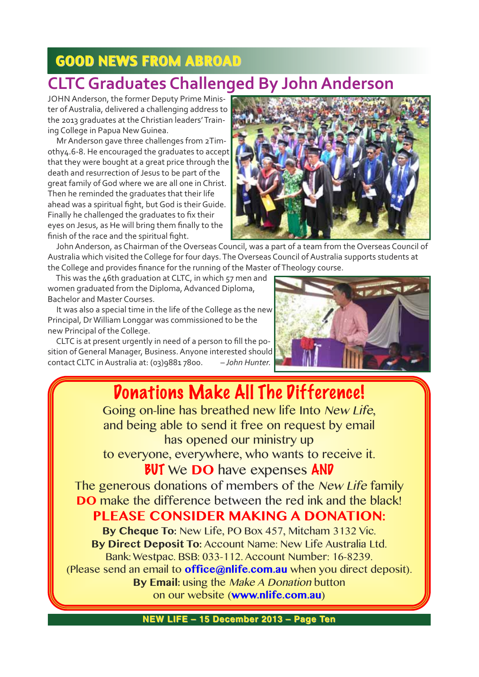## GOOD NEWS FROM ABROAD GOOD NEWS FROM ABROAD

## **CLTC Graduates Challenged By John Anderson**

JOHN Anderson, the former Deputy Prime Minister of Australia, delivered a challenging address to the 2013 graduates at the Christian leaders' Training College in Papua New Guinea.

Mr Anderson gave three challenges from 2Timothy4.6-8. He encouraged the graduates to accept that they were bought at a great price through the death and resurrection of Jesus to be part of the great family of God where we are all one in Christ. Then he reminded the graduates that their life ahead was a spiritual fight, but God is their Guide. Finally he challenged the graduates to fix their eyes on Jesus, as He will bring them finally to the finish of the race and the spiritual fight.



John Anderson, as Chairman of the Overseas Council, was a part of a team from the Overseas Council of Australia which visited the College for four days. The Overseas Council of Australia supports students at the College and provides finance for the running of the Master of Theology course.

This was the 46th graduation at CLTC, in which 57 men and women graduated from the Diploma, Advanced Diploma, Bachelor and Master Courses.

It was also a special time in the life of the College as the new Principal, Dr William Longgar was commissioned to be the new Principal of the College.

CLTC is at present urgently in need of a person to fill the position of General Manager, Business. Anyone interested should contact CLTC in Australia at: (03)9881 7800. *– John Hunter.*



## Donations Make All The Difference!

Going on-line has breathed new life Into New Life, and being able to send it free on request by email has opened our ministry up to everyone, everywhere, who wants to receive it.

## **BUT** We DO have expenses AND

The generous donations of members of the New Life family **DO** make the difference between the red ink and the black! **PLEASE CONSIDER MAKING A DONATION:** 

**By Cheque To:** New Life, PO Box 457, Mitcham 3132 Vic. **By Direct Deposit To:** Account Name: New Life Australia Ltd. Bank: Westpac. BSB: 033-112. Account Number: 16-8239. (Please send an email to **office@nlife.com.au** when you direct deposit). **By Email:** using the Make A Donation button on our website (**www.nlife.com.au**)

**NEW LIFE – 15 December 2013 – Page Ten**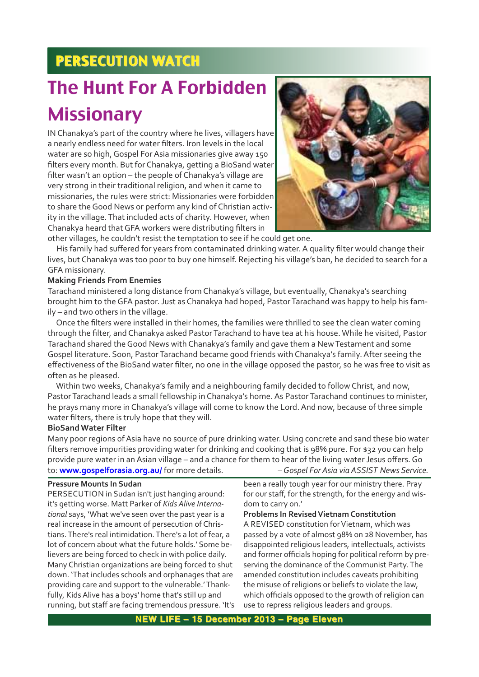## **PERSECUTION WATCH**

# The Hunt For A Forbidden **Missionary**

IN Chanakya's part of the country where he lives, villagers have a nearly endless need for water filters. Iron levels in the local water are so high, Gospel For Asia missionaries give away 150 filters every month. But for Chanakya, getting a BioSand water filter wasn't an option – the people of Chanakya's village are very strong in their traditional religion, and when it came to missionaries, the rules were strict: Missionaries were forbidden to share the Good News or perform any kind of Christian activity in the village. That included acts of charity. However, when Chanakya heard that GFA workers were distributing filters in other villages, he couldn't resist the temptation to see if he could get one.



His family had suffered for years from contaminated drinking water. A quality filter would change their lives, but Chanakya was too poor to buy one himself. Rejecting his village's ban, he decided to search for a GFA missionary.

#### **Making Friends From Enemies**

Tarachand ministered a long distance from Chanakya's village, but eventually, Chanakya's searching brought him to the GFA pastor. Just as Chanakya had hoped, Pastor Tarachand was happy to help his family – and two others in the village.

Once the filters were installed in their homes, the families were thrilled to see the clean water coming through the filter, and Chanakya asked Pastor Tarachand to have tea at his house. While he visited, Pastor Tarachand shared the Good News with Chanakya's family and gave them a New Testament and some Gospel literature. Soon, Pastor Tarachand became good friends with Chanakya's family. After seeing the effectiveness of the BioSand water filter, no one in the village opposed the pastor, so he was free to visit as often as he pleased.

Within two weeks, Chanakya's family and a neighbouring family decided to follow Christ, and now, Pastor Tarachand leads a small fellowship in Chanakya's home. As Pastor Tarachand continues to minister, he prays many more in Chanakya's village will come to know the Lord. And now, because of three simple water filters, there is truly hope that they will.

#### **BioSand Water Filter**

Many poor regions of Asia have no source of pure drinking water. Using concrete and sand these bio water filters remove impurities providing water for drinking and cooking that is 98% pure. For \$32 you can help provide pure water in an Asian village – and a chance for them to hear of the living water Jesus offers. Go to: **www.gospelforasia.org.au/** for more details. *– Gospel For Asia via ASSIST News Service.*

#### **Pressure Mounts In Sudan**

PERSECUTION in Sudan isn't just hanging around: it's getting worse. Matt Parker of *Kids Alive International* says, 'What we've seen over the past year is a real increase in the amount of persecution of Christians. There's real intimidation. There's a lot of fear, a lot of concern about what the future holds.' Some believers are being forced to check in with police daily. Many Christian organizations are being forced to shut down. 'That includes schools and orphanages that are providing care and support to the vulnerable.' Thankfully, Kids Alive has a boys' home that's still up and running, but staff are facing tremendous pressure. 'It's been a really tough year for our ministry there. Pray for our staff, for the strength, for the energy and wisdom to carry on.'

#### **Problems In Revised Vietnam Constitution**

A REVISED constitution for Vietnam, which was passed by a vote of almost 98% on 28 November, has disappointed religious leaders, intellectuals, activists and former officials hoping for political reform by preserving the dominance of the Communist Party. The amended constitution includes caveats prohibiting the misuse of religions or beliefs to violate the law, which officials opposed to the growth of religion can use to repress religious leaders and groups.

**NEW LIFE – 15 December 2013 – Page Eleven**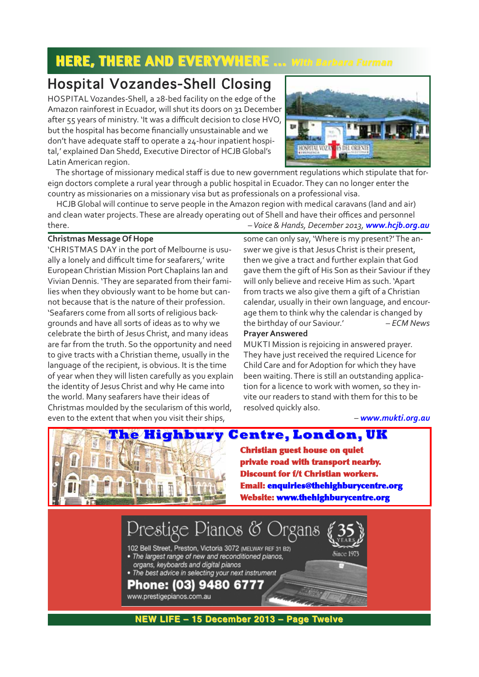## HERE, THERE AND EVERYWHERE .... With Barbara Furman

## Hospital Vozandes-Shell Closing

HOSPITAL Vozandes-Shell, a 28-bed facility on the edge of the Amazon rainforest in Ecuador, will shut its doors on 31 December after 55 years of ministry. 'It was a difficult decision to close HVO, but the hospital has become financially unsustainable and we don't have adequate staff to operate a 24-hour inpatient hospital,' explained Dan Shedd, Executive Director of HCJB Global's Latin American region.



The shortage of missionary medical staff is due to new government regulations which stipulate that foreign doctors complete a rural year through a public hospital in Ecuador. They can no longer enter the country as missionaries on a missionary visa but as professionals on a professional visa.

HCJB Global will continue to serve people in the Amazon region with medical caravans (land and air) and clean water projects. These are already operating out of Shell and have their offices and personnel there. *– Voice & Hands, December 2013, www.hcjb.org.au*

#### **Christmas Message Of Hope**

'CHRISTMAS DAY in the port of Melbourne is usually a lonely and difficult time for seafarers,' write European Christian Mission Port Chaplains Ian and Vivian Dennis. 'They are separated from their families when they obviously want to be home but cannot because that is the nature of their profession. 'Seafarers come from all sorts of religious backgrounds and have all sorts of ideas as to why we celebrate the birth of Jesus Christ, and many ideas are far from the truth. So the opportunity and need to give tracts with a Christian theme, usually in the language of the recipient, is obvious. It is the time of year when they will listen carefully as you explain the identity of Jesus Christ and why He came into the world. Many seafarers have their ideas of Christmas moulded by the secularism of this world, even to the extent that when you visit their ships,

some can only say, 'Where is my present?' The answer we give is that Jesus Christ is their present, then we give a tract and further explain that God gave them the gift of His Son as their Saviour if they will only believe and receive Him as such. 'Apart from tracts we also give them a gift of a Christian calendar, usually in their own language, and encourage them to think why the calendar is changed by the birthday of our Saviour.' *– ECM News*

#### **Prayer Answered**

MUKTI Mission is rejoicing in answered prayer. They have just received the required Licence for Child Care and for Adoption for which they have been waiting. There is still an outstanding application for a licence to work with women, so they invite our readers to stand with them for this to be resolved quickly also.

– *www.mukti.org.au*



**Christian guest house on quiet private road with transport nearby. Discount for f/t Christian workers. Email: enquiries@thehighburycentre.org Website: www.thehighburycentre.org**



**NEW LIFE – 15 December 2013 – Page Twelve NEW LIFE – 15 December 2013 – Page Twelve**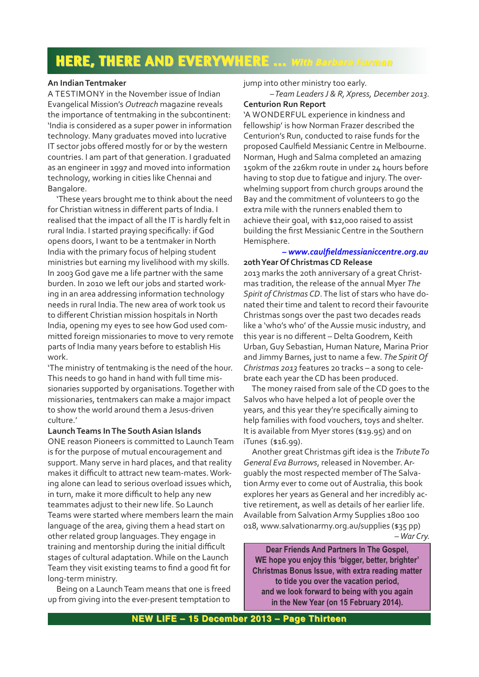## HERE, THERE AND EVERYWHERE ... With Barbara Furman

#### **An Indian Tentmaker**

A TESTIMONY in the November issue of Indian Evangelical Mission's *Outreach* magazine reveals the importance of tentmaking in the subcontinent: 'India is considered as a super power in information technology. Many graduates moved into lucrative IT sector jobs offered mostly for or by the western countries. I am part of that generation. I graduated as an engineer in 1997 and moved into information technology, working in cities like Chennai and Bangalore.

'These years brought me to think about the need for Christian witness in different parts of India. I realised that the impact of all the IT is hardly felt in rural India. I started praying specifically: if God opens doors, I want to be a tentmaker in North India with the primary focus of helping student ministries but earning my livelihood with my skills. In 2003 God gave me a life partner with the same burden. In 2010 we left our jobs and started working in an area addressing information technology needs in rural India. The new area of work took us to different Christian mission hospitals in North India, opening my eyes to see how God used committed foreign missionaries to move to very remote parts of India many years before to establish His work.

'The ministry of tentmaking is the need of the hour. This needs to go hand in hand with full time missionaries supported by organisations. Together with missionaries, tentmakers can make a major impact to show the world around them a Jesus-driven culture.'

#### **Launch Teams In The South Asian Islands**

ONE reason Pioneers is committed to Launch Team is for the purpose of mutual encouragement and support. Many serve in hard places, and that reality makes it difficult to attract new team-mates. Working alone can lead to serious overload issues which, in turn, make it more difficult to help any new teammates adjust to their new life. So Launch Teams were started where members learn the main language of the area, giving them a head start on other related group languages. They engage in training and mentorship during the initial difficult stages of cultural adaptation. While on the Launch Team they visit existing teams to find a good fit for long-term ministry.

Being on a Launch Team means that one is freed up from giving into the ever-present temptation to

#### jump into other ministry too early. *– Team Leaders J & R, Xpress, December 2013.*

#### **Centurion Run Report**

'A WONDERFUL experience in kindness and fellowship' is how Norman Frazer described the Centurion's Run, conducted to raise funds for the proposed Caulfield Messianic Centre in Melbourne. Norman, Hugh and Salma completed an amazing 150km of the 226km route in under 24 hours before having to stop due to fatigue and injury. The overwhelming support from church groups around the Bay and the commitment of volunteers to go the extra mile with the runners enabled them to achieve their goal, with \$12,000 raised to assist building the first Messianic Centre in the Southern Hemisphere.

#### *– www.caulfieldmessianiccentre.org.au* **20th Year Of Christmas CD Release**

2013 marks the 20th anniversary of a great Christmas tradition, the release of the annual Myer *The Spirit of Christmas CD*. The list of stars who have donated their time and talent to record their favourite Christmas songs over the past two decades reads like a 'who's who' of the Aussie music industry, and this year is no different – Delta Goodrem, Keith Urban, Guy Sebastian, Human Nature, Marina Prior and Jimmy Barnes, just to name a few. *The Spirit Of Christmas 2013* features 20 tracks – a song to celebrate each year the CD has been produced.

The money raised from sale of the CD goes to the Salvos who have helped a lot of people over the years, and this year they're specifically aiming to help families with food vouchers, toys and shelter. It is available from Myer stores (\$19.95) and on iTunes (\$16.99).

Another great Christmas gift idea is the *Tribute To General Eva Burrows*, released in November. Arguably the most respected member of The Salvation Army ever to come out of Australia, this book explores her years as General and her incredibly active retirement, as well as details of her earlier life. Available from Salvation Army Supplies 1800 100 018, www.salvationarmy.org.au/supplies (\$35 pp) *– War Cry.*

**Dear Friends And Partners In The Gospel, WE hope you enjoy this 'bigger, better, brighter' Christmas Bonus Issue, with extra reading matter to tide you over the vacation period, and we look forward to being with you again in the New Year (on 15 February 2014).**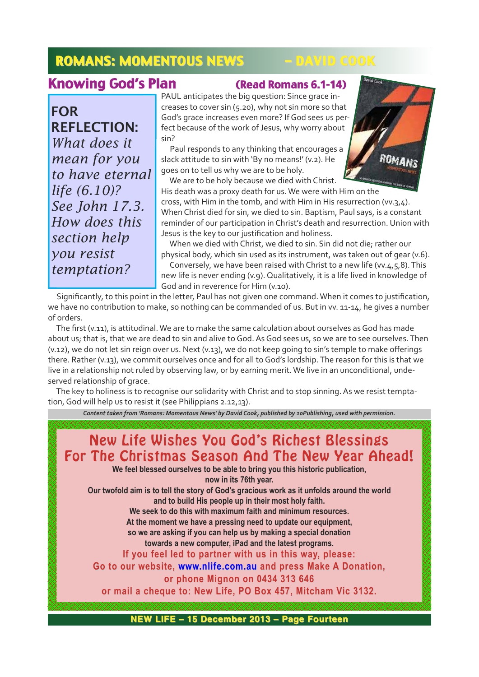## ROMANS: MOMENTOUS NEWS – DAVID COOK

## Knowing God's Plan (Read Romans 6.1-14)

FOR REFLECTION: *What does it mean for you to have eternal life (6.10)? See John 17.3. How does this section help you resist temptation?*

PAUL anticipates the big question: Since grace increases to cover sin (5.20), why not sin more so that God's grace increases even more? If God sees us perfect because of the work of Jesus, why worry about sin?

Paul responds to any thinking that encourages a slack attitude to sin with 'By no means!' (v.2). He goes on to tell us why we are to be holy.

We are to be holy because we died with Christ.

His death was a proxy death for us. We were with Him on the cross, with Him in the tomb, and with Him in His resurrection (vv.3,4). When Christ died for sin, we died to sin. Baptism, Paul says, is a constant reminder of our participation in Christ's death and resurrection. Union with

ROMANS

Jesus is the key to our justification and holiness. When we died with Christ, we died to sin. Sin did not die; rather our physical body, which sin used as its instrument, was taken out of gear (v.6). Conversely, we have been raised with Christ to a new life (vv.4,5,8). This new life is never ending (v.9). Qualitatively, it is a life lived in knowledge of God and in reverence for Him (v.10).

Significantly, to this point in the letter, Paul has not given one command. When it comes to justification, we have no contribution to make, so nothing can be commanded of us. But in vv. 11-14, he gives a number of orders.

The first (v.11), is attitudinal. We are to make the same calculation about ourselves as God has made about us; that is, that we are dead to sin and alive to God. As God sees us, so we are to see ourselves. Then (v.12), we do not let sin reign over us. Next (v.13), we do not keep going to sin's temple to make offerings there. Rather (v.13), we commit ourselves once and for all to God's lordship. The reason for this is that we live in a relationship not ruled by observing law, or by earning merit. We live in an unconditional, undeserved relationship of grace.

The key to holiness is to recognise our solidarity with Christ and to stop sinning. As we resist temptation, God will help us to resist it (see Philippians 2.12,13).

*Content taken from 'Romans: Momentous News' by David Cook, published by 10Publishing, used with permission.*

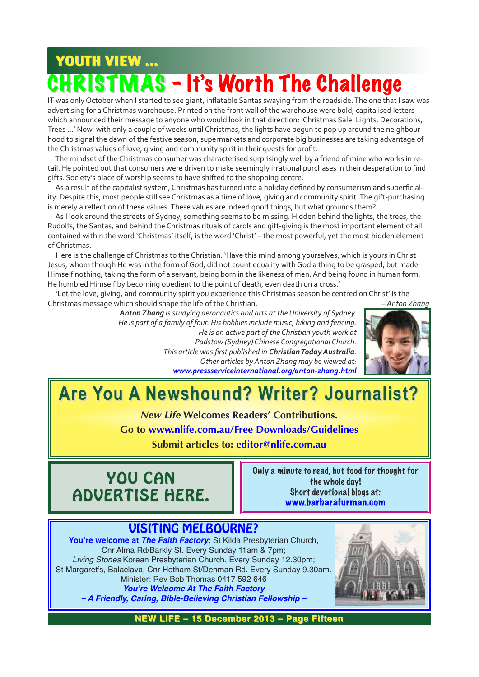# YOUTH VIEW ... **FMAS - It's Worth The Challenge**

IT was only October when I started to see giant, inflatable Santas swaying from the roadside. The one that I saw was advertising for a Christmas warehouse. Printed on the front wall of the warehouse were bold, capitalised letters which announced their message to anyone who would look in that direction: 'Christmas Sale: Lights, Decorations, Trees …' Now, with only a couple of weeks until Christmas, the lights have begun to pop up around the neighbourhood to signal the dawn of the festive season, supermarkets and corporate big businesses are taking advantage of the Christmas values of love, giving and community spirit in their quests for profit.

The mindset of the Christmas consumer was characterised surprisingly well by a friend of mine who works in retail. He pointed out that consumers were driven to make seemingly irrational purchases in their desperation to find gifts. Society's place of worship seems to have shifted to the shopping centre.

As a result of the capitalist system, Christmas has turned into a holiday defined by consumerism and superficiality. Despite this, most people still see Christmas as a time of love, giving and community spirit. The gift-purchasing is merely a reflection of these values. These values are indeed good things, but what grounds them?

As I look around the streets of Sydney, something seems to be missing. Hidden behind the lights, the trees, the Rudolfs, the Santas, and behind the Christmas rituals of carols and gift-giving is the most important element of all: contained within the word 'Christmas' itself, is the word 'Christ' – the most powerful, yet the most hidden element of Christmas.

Here is the challenge of Christmas to the Christian: 'Have this mind among yourselves, which is yours in Christ Jesus, whom though He was in the form of God, did not count equality with God a thing to be grasped, but made Himself nothing, taking the form of a servant, being born in the likeness of men. And being found in human form, He humbled Himself by becoming obedient to the point of death, even death on a cross.'

'Let the love, giving, and community spirit you experience this Christmas season be centred on Christ' is the Christmas message which should shape the life of the Christian. *– Anton Zhang*

*Anton Zhang is studying aeronautics and arts at the University of Sydney. He is part of a family of four. His hobbies include music, hiking and fencing. He is an active part of the Christian youth work at Padstow (Sydney) Chinese Congregational Church. This article was first published in Christian Today Australia. Other articles by Anton Zhang may be viewed at: www.pressserviceinternational.org/antonzhang.html*



## **Are You A Newshound? Writer? Journalist? Are You A Newshound? Writer? Journalist?**

*New Life* **Welcomes Readers' Contributions.**

**Go to www.nlife.com.au/Free Downloads/Guidelines**

**Submit articles to: editor@nlife.com.au**



Only a minute to read, but food for thought for the whole day! Short devotional blogs at: www.barbarafurman.com

#### VISITING MELBOURNE? **You're welcome at** *The Faith Factory***:** St Kilda Presbyterian Church, Cnr Alma Rd/Barkly St. Every Sunday 11am & 7pm; Living Stones Korean Presbyterian Church. Every Sunday 12.30pm; St Margaret's, Balaclava, Cnr Hotham St/Denman Rd. Every Sunday 9.30am. Minister: Rev Bob Thomas 0417 592 646 *You're Welcome At The Faith Factory – A Friendly, Caring, Bible-Believing Christian Fellowship –*



**NEW LIFE – 15 December 2013 – Page Fifteen**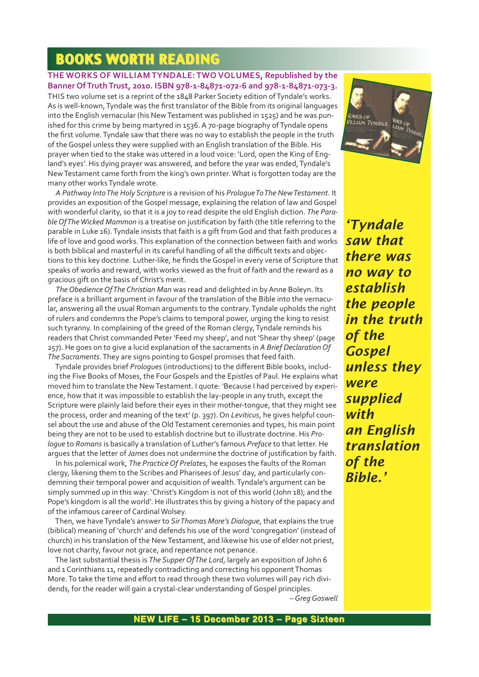## **BOOKS WORTH READING**

#### **THE WORKS OF WILLIAM TYNDALE: TWO VOLUMES, Republished by the** Banner Of Truth Trust, 2010. ISBN 978-1-84871-072-6 and 978-1-84871-073-3.

THIS two volume set is a reprint of the 1848 Parker Society edition of Tyndale's works. As is well-known, Tyndale was the first translator of the Bible from its original languages into the English vernacular (his New Testament was published in 1525) and he was punished for this crime by being martyred in 1536. A 70-page biography of Tyndale opens the first volume. Tyndale saw that there was no way to establish the people in the truth of the Gospel unless they were supplied with an English translation of the Bible. His prayer when tied to the stake was uttered in a loud voice: 'Lord, open the King of England's eyes'. His dying prayer was answered, and before the year was ended, Tyndale's New Testament came forth from the king's own printer. What is forgotten today are the many other works Tyndale wrote.

*A Pathway Into The Holy Scripture* is a revision of his *Prologue To The New Testament*. It provides an exposition of the Gospel message, explaining the relation of law and Gospel with wonderful clarity, so that it is a joy to read despite the old English diction. *The Parable Of The Wicked Mammon* is a treatise on justification by faith (the title referring to the parable in Luke 16). Tyndale insists that faith is a gift from God and that faith produces a life of love and good works. This explanation of the connection between faith and works is both biblical and masterful in its careful handling of all the difficult texts and objections to this key doctrine. Luther-like, he finds the Gospel in every verse of Scripture that speaks of works and reward, with works viewed as the fruit of faith and the reward as a gracious gift on the basis of Christ's merit.

*The Obedience Of The Christian Man* was read and delighted in by Anne Boleyn. Its preface is a brilliant argument in favour of the translation of the Bible into the vernacular, answering all the usual Roman arguments to the contrary. Tyndale upholds the right of rulers and condemns the Pope's claims to temporal power, urging the king to resist such tyranny. In complaining of the greed of the Roman clergy, Tyndale reminds his readers that Christ commanded Peter 'Feed my sheep', and not 'Shear thy sheep' (page 257). He goes on to give a lucid explanation of the sacraments in *A Brief Declaration Of The Sacraments*. They are signs pointing to Gospel promises that feed faith.

Tyndale provides brief *Prologues* (introductions) to the different Bible books, including the Five Books of Moses, the Four Gospels and the Epistles of Paul. He explains what moved him to translate the New Testament. I quote: 'Because I had perceived by experience, how that it was impossible to establish the lay-people in any truth, except the Scripture were plainly laid before their eyes in their mother-tongue, that they might see the process, order and meaning of the text' (p. 397). On *Leviticus*, he gives helpful counsel about the use and abuse of the Old Testament ceremonies and types, his main point being they are not to be used to establish doctrine but to illustrate doctrine. His *Prologue* to *Romans* is basically a translation of Luther's famous *Preface* to that letter. He argues that the letter of *James* does not undermine the doctrine of justification by faith.

In his polemical work, *The Practice Of Prelates*, he exposes the faults of the Roman clergy, likening them to the Scribes and Pharisees of Jesus' day, and particularly condemning their temporal power and acquisition of wealth. Tyndale's argument can be simply summed up in this way: 'Christ's Kingdom is not of this world (John 18); and the Pope's kingdom is all the world'. He illustrates this by giving a history of the papacy and of the infamous career of Cardinal Wolsey.

Then, we have Tyndale's answer to *Sir Thomas More's Dialogue*, that explains the true (biblical) meaning of 'church' and defends his use of the word 'congregation' (instead of church) in his translation of the New Testament, and likewise his use of elder not priest, love not charity, favour not grace, and repentance not penance.

The last substantial thesis is *The Supper Of The Lord*, largely an exposition of John 6 and 1 Corinthians 11, repeatedly contradicting and correcting his opponent Thomas More. To take the time and effort to read through these two volumes will pay rich dividends, for the reader will gain a crystal-clear understanding of Gospel principles.

*– Greg Goswell*



*'Tyndale saw that there was no way to establish the people in the truth of the Gospel unless they were supplied with an English translation of the Bible.'*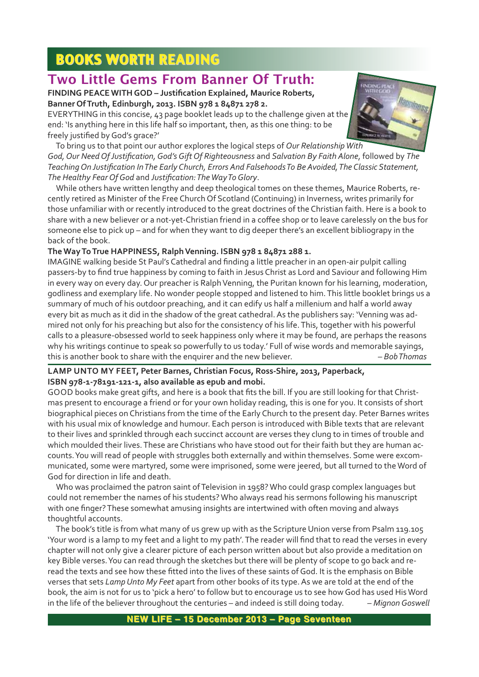## **BOOKS WORTH READING**

## **Two Little Gems From Banner Of Truth:**

**FINDING PEACE WITH GOD – Justification Explained, Maurice Roberts, Banner Of Truth, Edinburgh, 2013. ISBN 978 1 84871 278 2.**

EVERYTHING in this concise, 43 page booklet leads up to the challenge given at the end: 'Is anything here in this life half so important, then, as this one thing: to be freely justified by God's grace?'



To bring us to that point our author explores the logical steps of *Our Relationship With God, Our Need Of Justification, God's Gift Of Righteousness* and *Salvation By Faith Alone*, followed by *The Teaching On Justification In The Early Church, Errors And Falsehoods To Be Avoided, The Classic Statement, The Healthy Fear Of God* and *Justification: The Way To Glory*.

While others have written lengthy and deep theological tomes on these themes, Maurice Roberts, recently retired as Minister of the Free Church Of Scotland (Continuing) in Inverness, writes primarily for those unfamiliar with or recently introduced to the great doctrines of the Christian faith. Here is a book to share with a new believer or a not-yet-Christian friend in a coffee shop or to leave carelessly on the bus for someone else to pick up – and for when they want to dig deeper there's an excellent bibliograpy in the back of the book.

#### **The Way To True HAPPINESS, Ralph Venning. ISBN 978 1 84871 288 1.**

IMAGINE walking beside St Paul's Cathedral and finding a little preacher in an open-air pulpit calling passers-by to find true happiness by coming to faith in Jesus Christ as Lord and Saviour and following Him in every way on every day. Our preacher is Ralph Venning, the Puritan known for his learning, moderation, godliness and exemplary life. No wonder people stopped and listened to him. This little booklet brings us a summary of much of his outdoor preaching, and it can edify us half a millenium and half a world away every bit as much as it did in the shadow of the great cathedral. As the publishers say: 'Venning was admired not only for his preaching but also for the consistency of his life. This, together with his powerful calls to a pleasure-obsessed world to seek happiness only where it may be found, are perhaps the reasons why his writings continue to speak so powerfully to us today.' Full of wise words and memorable sayings, this is another book to share with the enquirer and the new believer. *– Bob Thomas*

#### LAMP UNTO MY FEET, Peter Barnes, Christian Focus, Ross-Shire, 2013, Paperback, **ISBN 978-1-78191-121-1, also available as epub and mobi.**

GOOD books make great gifts, and here is a book that fits the bill. If you are still looking for that Christmas present to encourage a friend or for your own holiday reading, this is one for you. It consists of short biographical pieces on Christians from the time of the Early Church to the present day. Peter Barnes writes with his usual mix of knowledge and humour. Each person is introduced with Bible texts that are relevant to their lives and sprinkled through each succinct account are verses they clung to in times of trouble and which moulded their lives. These are Christians who have stood out for their faith but they are human accounts. You will read of people with struggles both externally and within themselves. Some were excommunicated, some were martyred, some were imprisoned, some were jeered, but all turned to the Word of God for direction in life and death.

Who was proclaimed the patron saint of Television in 1958? Who could grasp complex languages but could not remember the names of his students? Who always read his sermons following his manuscript with one finger? These somewhat amusing insights are intertwined with often moving and always thoughtful accounts.

The book's title is from what many of us grew up with as the Scripture Union verse from Psalm 119.105 'Your word is a lamp to my feet and a light to my path'. The reader will find that to read the verses in every chapter will not only give a clearer picture of each person written about but also provide a meditation on key Bible verses. You can read through the sketches but there will be plenty of scope to go back and reread the texts and see how these fitted into the lives of these saints of God. It is the emphasis on Bible verses that sets *Lamp Unto My Feet* apart from other books of its type. As we are told at the end of the book, the aim is not for us to 'pick a hero' to follow but to encourage us to see how God has used His Word in the life of the believer throughout the centuries – and indeed is still doing today. *– Mignon Goswell*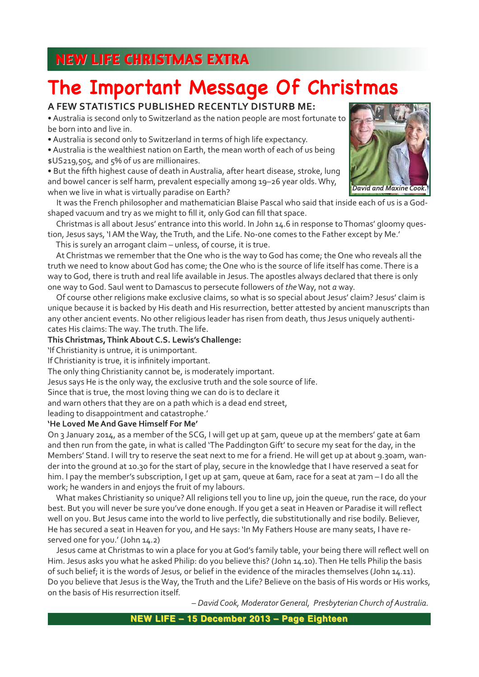## **A FEW STATISTICS PUBLISHED RECENTLY DISTURB ME:**

• Australia is second only to Switzerland as the nation people are most fortunate to be born into and live in.

• Australia is second only to Switzerland in terms of high life expectancy.

• Australia is the wealthiest nation on Earth, the mean worth of each of us being \$US219,505, and 5% of us are millionaires.

• But the fifth highest cause of death in Australia, after heart disease, stroke, lung and bowel cancer is self harm, prevalent especially among 19–26 year olds. Why, when we live in what is virtually paradise on Earth?



It was the French philosopher and mathematician Blaise Pascal who said that inside each of us is a Godshaped vacuum and try as we might to fill it, only God can fill that space.

Christmas is all about Jesus' entrance into this world. In John 14.6 in response to Thomas' gloomy question, Jesus says, 'I AM the Way, the Truth, and the Life. No-one comes to the Father except by Me.'

This is surely an arrogant claim – unless, of course, it is true.

At Christmas we remember that the One who is the way to God has come; the One who reveals all the truth we need to know about God has come; the One who is the source of life itself has come. There is a way to God, there is truth and real life available in Jesus. The apostles always declared that there is only one way to God. Saul went to Damascus to persecute followers of *the* Way, not *a* way.

Of course other religions make exclusive claims, so what is so special about Jesus' claim? Jesus' claim is unique because it is backed by His death and His resurrection, better attested by ancient manuscripts than any other ancient events. No other religious leader has risen from death, thus Jesus uniquely authenticates His claims: The way. The truth. The life.

#### **This Christmas, Think About C.S. Lewis's Challenge:**

'If Christianity is untrue, it is unimportant.

If Christianity is true, it is infinitely important.

The only thing Christianity cannot be, is moderately important.

Jesus says He is the only way, the exclusive truth and the sole source of life.

Since that is true, the most loving thing we can do is to declare it

and warn others that they are on a path which is a dead end street,

leading to disappointment and catastrophe.'

#### **'He Loved Me And Gave Himself For Me'**

On 3 January 2014, as a member of the SCG, I will get up at 5am, queue up at the members' gate at 6am and then run from the gate, in what is called 'The Paddington Gift' to secure my seat for the day, in the Members' Stand. I will try to reserve the seat next to me for a friend. He will get up at about 9.30am, wander into the ground at 10.30 for the start of play, secure in the knowledge that I have reserved a seat for him. I pay the member's subscription, I get up at 5am, queue at 6am, race for a seat at 7am - I do all the work; he wanders in and enjoys the fruit of my labours.

What makes Christianity so unique? All religions tell you to line up, join the queue, run the race, do your best. But you will never be sure you've done enough. If you get a seat in Heaven or Paradise it will reflect well on you. But Jesus came into the world to live perfectly, die substitutionally and rise bodily. Believer, He has secured a seat in Heaven for you, and He says: 'In My Fathers House are many seats, I have reserved one for you.' (John 14.2)

Jesus came at Christmas to win a place for you at God's family table, your being there will reflect well on Him. Jesus asks you what he asked Philip: do you believe this? (John 14.10). Then He tells Philip the basis of such belief; it is the words of Jesus, or belief in the evidence of the miracles themselves (John 14.11). Do you believe that Jesus is the Way, the Truth and the Life? Believe on the basis of His words or His works, on the basis of His resurrection itself.

*– David Cook, Moderator General, Presbyterian Church of Australia.*

**NEW LIFE – 15 December 2013 – Page Eighteen**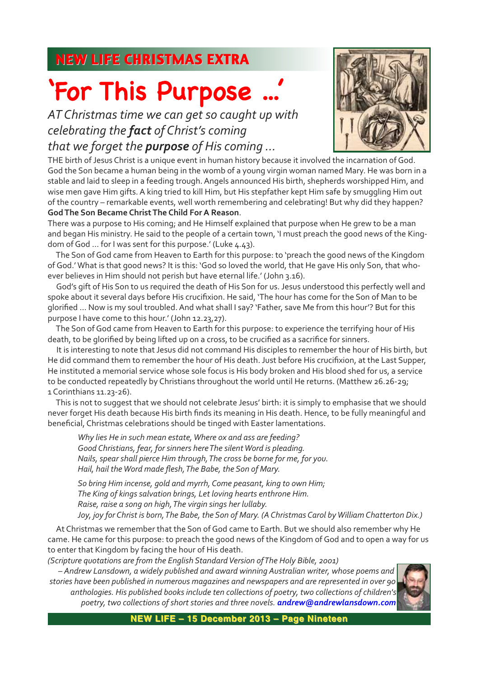AT Christmas time we can get so caught up with *celebrating the fact of Christ's coming that we forget the purpose of His coming ...*



THE birth of Jesus Christ is a unique event in human history because it involved the incarnation of God. God the Son became a human being in the womb of a young virgin woman named Mary. He was born in a stable and laid to sleep in a feeding trough. Angels announced His birth, shepherds worshipped Him, and wise men gave Him gifts. A king tried to kill Him, but His stepfather kept Him safe by smuggling Him out of the country – remarkable events, well worth remembering and celebrating! But why did they happen? **God The Son Became Christ The Child For A Reason**.

There was a purpose to His coming; and He Himself explained that purpose when He grew to be a man and began His ministry. He said to the people of a certain town, 'I must preach the good news of the Kingdom of God ... for I was sent for this purpose.' (Luke 4.43).

The Son of God came from Heaven to Earth for this purpose: to 'preach the good news of the Kingdom of God.' What is that good news? It is this: 'God so loved the world, that He gave His only Son, that whoever believes in Him should not perish but have eternal life.' (John 3.16).

God's gift of His Son to us required the death of His Son for us. Jesus understood this perfectly well and spoke about it several days before His crucifixion. He said, 'The hour has come for the Son of Man to be glorified … Now is my soul troubled. And what shall I say? 'Father, save Me from this hour'? But for this purpose I have come to this hour.' (John 12.23,27).

The Son of God came from Heaven to Earth for this purpose: to experience the terrifying hour of His death, to be glorified by being lifted up on a cross, to be crucified as a sacrifice for sinners.

It is interesting to note that Jesus did not command His disciples to remember the hour of His birth, but He did command them to remember the hour of His death. Just before His crucifixion, at the Last Supper, He instituted a memorial service whose sole focus is His body broken and His blood shed for us, a service to be conducted repeatedly by Christians throughout the world until He returns. (Matthew 26.26-29; 1 Corinthians 11.23-26).

This is not to suggest that we should not celebrate Jesus' birth: it is simply to emphasise that we should never forget His death because His birth finds its meaning in His death. Hence, to be fully meaningful and beneficial, Christmas celebrations should be tinged with Easter lamentations.

*Why lies He in such mean estate, Where ox and ass are feeding? Good Christians, fear, for sinners here The silent Word is pleading. Nails, spear shall pierce Him through, The cross be borne for me, for you. Hail, hail the Word made flesh, The Babe, the Son of Mary.*

*So bring Him incense, gold and myrrh, Come peasant, king to own Him; The King of kings salvation brings, Let loving hearts enthrone Him. Raise, raise a song on high, The virgin sings her lullaby. Joy, joy for Christ is born, The Babe, the Son of Mary. (A Christmas Carol by William Chatterton Dix.)*

At Christmas we remember that the Son of God came to Earth. But we should also remember why He came. He came for this purpose: to preach the good news of the Kingdom of God and to open a way for us to enter that Kingdom by facing the hour of His death.

*(Scripture quotations are from the English Standard Version of The Holy Bible, 2001)*

*– Andrew Lansdown, a widely published and award winning Australian writer, whose poems and stories have been published in numerous magazines and newspapers and are represented in over 90 anthologies. His published books include ten collections of poetry, two collections of children's poetry, two collections of short stories and three novels. andrew@andrewlansdown.com*



**NEW LIFE – 15 December 2013 – Page Nineteen**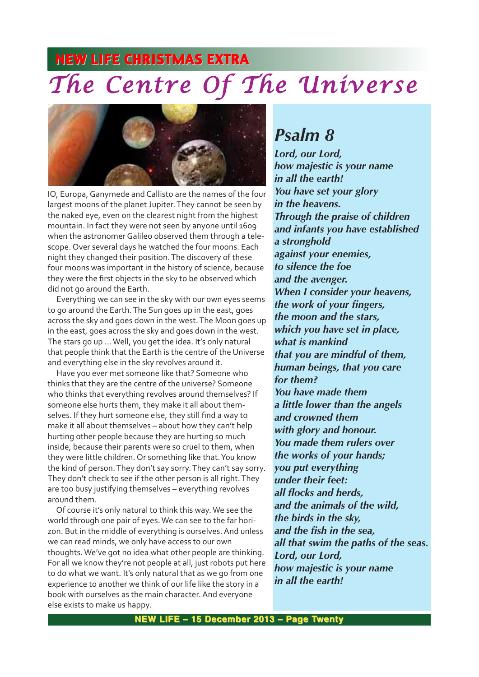# **NEW LIFE CHRISTMAS EXTRA** *The Centre Of The Universe*



IO, Europa, Ganymede and Callisto are the names of the four largest moons of the planet Jupiter. They cannot be seen by the naked eye, even on the clearest night from the highest mountain. In fact they were not seen by anyone until 1609 when the astronomer Galileo observed them through a telescope. Over several days he watched the four moons. Each night they changed their position. The discovery of these four moons was important in the history of science, because they were the first objects in the sky to be observed which did not go around the Earth.

Everything we can see in the sky with our own eyes seems to go around the Earth. The Sun goes up in the east, goes across the sky and goes down in the west. The Moon goes up in the east, goes across the sky and goes down in the west. The stars go up … Well, you get the idea. It's only natural that people think that the Earth is the centre of the Universe and everything else in the sky revolves around it.

Have you ever met someone like that? Someone who thinks that they are the centre of the universe? Someone who thinks that everything revolves around themselves? If someone else hurts them, they make it all about themselves. If they hurt someone else, they still find a way to make it all about themselves – about how they can't help hurting other people because they are hurting so much inside, because their parents were so cruel to them, when they were little children. Or something like that. You know the kind of person. They don't say sorry. They can't say sorry. They don't check to see if the other person is all right. They are too busy justifying themselves – everything revolves around them.

Of course it's only natural to think this way. We see the world through one pair of eyes. We can see to the far horizon. But in the middle of everything is ourselves. And unless we can read minds, we only have access to our own thoughts. We've got no idea what other people are thinking. For all we know they're not people at all, just robots put here to do what we want. It's only natural that as we go from one experience to another we think of our life like the story in a book with ourselves as the main character. And everyone else exists to make us happy.

## *Psalm 8*

*Lord, our Lord, how majestic is your name in all the earth! You have set your glory in the heavens. Through the praise of children and infants you have established a stronghold against your enemies, to silence the foe and the avenger. When I consider your heavens, the work of your fingers, the moon and the stars, which you have set in place, what is mankind that you are mindful of them, human beings, that you care for them? You have made them a little lower than the angels and crowned them with glory and honour. You made them rulers over the works of your hands; you put everything under their feet: all flocks and herds, and the animals of the wild, the birds in the sky, and the fish in the sea, all that swim the paths of the seas. Lord, our Lord, how majestic is your name in all the earth!*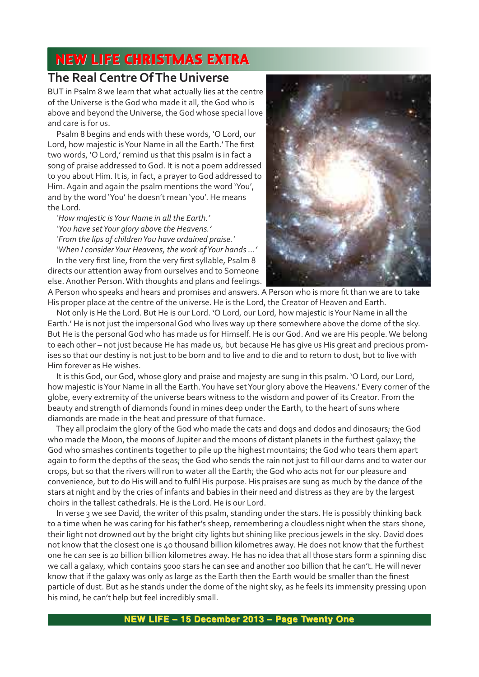#### **The Real Centre Of The Universe**

BUT in Psalm 8 we learn that what actually lies at the centre of the Universe is the God who made it all, the God who is above and beyond the Universe, the God whose special love and care is for us.

Psalm 8 begins and ends with these words, 'O Lord, our Lord, how majestic is Your Name in all the Earth.' The first two words, 'O Lord,' remind us that this psalm is in fact a song of praise addressed to God. It is not a poem addressed to you about Him. It is, in fact, a prayer to God addressed to Him. Again and again the psalm mentions the word 'You', and by the word 'You' he doesn't mean 'you'. He means the Lord.

*'How majestic is Your Name in all the Earth.' 'You have set Your glory above the Heavens.' 'From the lips of children You have ordained praise.' 'When I consider Your Heavens, the work of Your hands …'*

In the very first line, from the very first syllable, Psalm 8 directs our attention away from ourselves and to Someone else. Another Person. With thoughts and plans and feelings.



A Person who speaks and hears and promises and answers. A Person who is more fit than we are to take His proper place at the centre of the universe. He is the Lord, the Creator of Heaven and Earth.

Not only is He the Lord. But He is our Lord. 'O Lord, our Lord, how majestic is Your Name in all the Earth.' He is not just the impersonal God who lives way up there somewhere above the dome of the sky. But He is the personal God who has made us for Himself. He is our God. And we are His people. We belong to each other – not just because He has made us, but because He has give us His great and precious promises so that our destiny is not just to be born and to live and to die and to return to dust, but to live with Him forever as He wishes.

It is this God, our God, whose glory and praise and majesty are sung in this psalm. 'O Lord, our Lord, how majestic is Your Name in all the Earth. You have set Your glory above the Heavens.' Every corner of the globe, every extremity of the universe bears witness to the wisdom and power of its Creator. From the beauty and strength of diamonds found in mines deep under the Earth, to the heart of suns where diamonds are made in the heat and pressure of that furnace.

They all proclaim the glory of the God who made the cats and dogs and dodos and dinosaurs; the God who made the Moon, the moons of Jupiter and the moons of distant planets in the furthest galaxy; the God who smashes continents together to pile up the highest mountains; the God who tears them apart again to form the depths of the seas; the God who sends the rain not just to fill our dams and to water our crops, but so that the rivers will run to water all the Earth; the God who acts not for our pleasure and convenience, but to do His will and to fulfil His purpose. His praises are sung as much by the dance of the stars at night and by the cries of infants and babies in their need and distress as they are by the largest choirs in the tallest cathedrals. He is the Lord. He is our Lord.

In verse 3 we see David, the writer of this psalm, standing under the stars. He is possibly thinking back to a time when he was caring for his father's sheep, remembering a cloudless night when the stars shone, their light not drowned out by the bright city lights but shining like precious jewels in the sky. David does not know that the closest one is 40 thousand billion kilometres away. He does not know that the furthest one he can see is 20 billion billion kilometres away. He has no idea that all those stars form a spinning disc we call a galaxy, which contains 5000 stars he can see and another 100 billion that he can't. He will never know that if the galaxy was only as large as the Earth then the Earth would be smaller than the finest particle of dust. But as he stands under the dome of the night sky, as he feels its immensity pressing upon his mind, he can't help but feel incredibly small.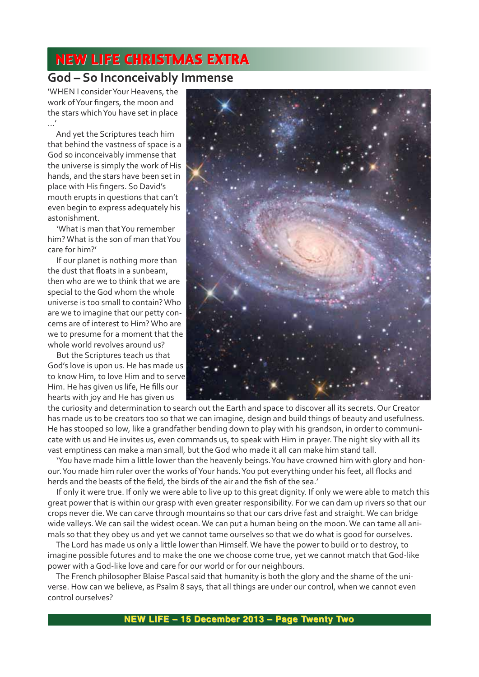## **God – So Inconceivably Immense**

'WHEN I consider Your Heavens, the work of Your fingers, the moon and the stars which You have set in place …'

And yet the Scriptures teach him that behind the vastness of space is a God so inconceivably immense that the universe is simply the work of His hands, and the stars have been set in place with His fingers. So David's mouth erupts in questions that can't even begin to express adequately his astonishment.

'What is man that You remember him? What is the son of man that You care for him?'

If our planet is nothing more than the dust that floats in a sunbeam, then who are we to think that we are special to the God whom the whole universe is too small to contain? Who are we to imagine that our petty concerns are of interest to Him? Who are we to presume for a moment that the whole world revolves around us?

But the Scriptures teach us that God's love is upon us. He has made us to know Him, to love Him and to serve Him. He has given us life, He fills our hearts with joy and He has given us



the curiosity and determination to search out the Earth and space to discover all its secrets. Our Creator has made us to be creators too so that we can imagine, design and build things of beauty and usefulness. He has stooped so low, like a grandfather bending down to play with his grandson, in order to communicate with us and He invites us, even commands us, to speak with Him in prayer. The night sky with all its vast emptiness can make a man small, but the God who made it all can make him stand tall.

'You have made him a little lower than the heavenly beings. You have crowned him with glory and honour. You made him ruler over the works of Your hands. You put everything under his feet, all flocks and herds and the beasts of the field, the birds of the air and the fish of the sea.'

If only it were true. If only we were able to live up to this great dignity. If only we were able to match this great power that is within our grasp with even greater responsibility. For we can dam up rivers so that our crops never die. We can carve through mountains so that our cars drive fast and straight. We can bridge wide valleys. We can sail the widest ocean. We can put a human being on the moon. We can tame all animals so that they obey us and yet we cannot tame ourselves so that we do what is good for ourselves.

The Lord has made us only a little lower than Himself. We have the power to build or to destroy, to imagine possible futures and to make the one we choose come true, yet we cannot match that God-like power with a God-like love and care for our world or for our neighbours.

The French philosopher Blaise Pascal said that humanity is both the glory and the shame of the universe. How can we believe, as Psalm 8 says, that all things are under our control, when we cannot even control ourselves?